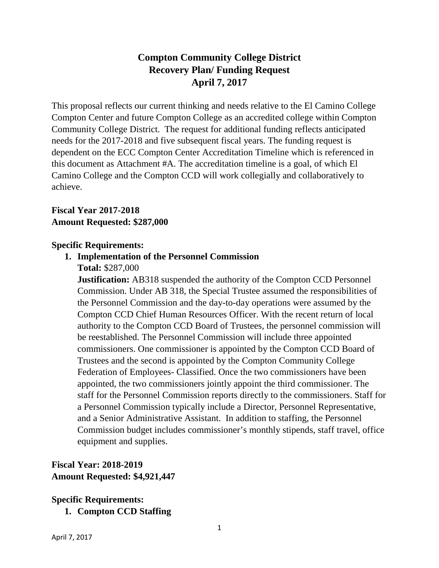# **Compton Community College District Recovery Plan/ Funding Request April 7, 2017**

This proposal reflects our current thinking and needs relative to the El Camino College Compton Center and future Compton College as an accredited college within Compton Community College District. The request for additional funding reflects anticipated needs for the 2017-2018 and five subsequent fiscal years. The funding request is dependent on the ECC Compton Center Accreditation Timeline which is referenced in this document as Attachment #A. The accreditation timeline is a goal, of which El Camino College and the Compton CCD will work collegially and collaboratively to achieve.

#### **Fiscal Year 2017-2018 Amount Requested: \$287,000**

#### **Specific Requirements:**

# **1. Implementation of the Personnel Commission**

**Total:** \$287,000

**Justification:** AB318 suspended the authority of the Compton CCD Personnel Commission. Under AB 318, the Special Trustee assumed the responsibilities of the Personnel Commission and the day-to-day operations were assumed by the Compton CCD Chief Human Resources Officer. With the recent return of local authority to the Compton CCD Board of Trustees, the personnel commission will be reestablished. The Personnel Commission will include three appointed commissioners. One commissioner is appointed by the Compton CCD Board of Trustees and the second is appointed by the Compton Community College Federation of Employees- Classified. Once the two commissioners have been appointed, the two commissioners jointly appoint the third commissioner. The staff for the Personnel Commission reports directly to the commissioners. Staff for a Personnel Commission typically include a Director, Personnel Representative, and a Senior Administrative Assistant. In addition to staffing, the Personnel Commission budget includes commissioner's monthly stipends, staff travel, office equipment and supplies.

## **Fiscal Year: 2018-2019 Amount Requested: \$4,921,447**

#### **Specific Requirements: 1. Compton CCD Staffing**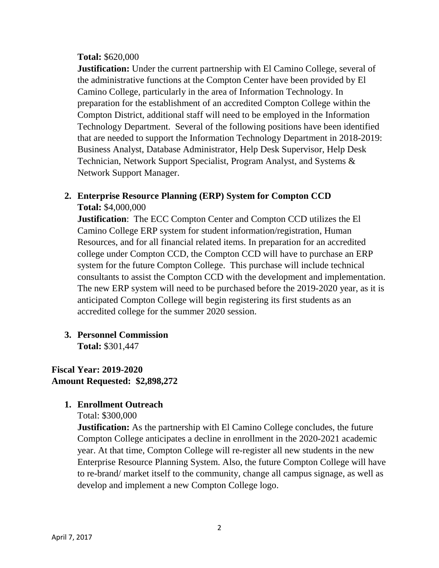#### **Total:** \$620,000

**Justification:** Under the current partnership with El Camino College, several of the administrative functions at the Compton Center have been provided by El Camino College, particularly in the area of Information Technology. In preparation for the establishment of an accredited Compton College within the Compton District, additional staff will need to be employed in the Information Technology Department.Several of the following positions have been identified that are needed to support the Information Technology Department in 2018-2019: Business Analyst, Database Administrator, Help Desk Supervisor, Help Desk Technician, Network Support Specialist, Program Analyst, and Systems & Network Support Manager.

#### **2. Enterprise Resource Planning (ERP) System for Compton CCD Total:** \$4,000,000

**Justification**: The ECC Compton Center and Compton CCD utilizes the El Camino College ERP system for student information/registration, Human Resources, and for all financial related items. In preparation for an accredited college under Compton CCD, the Compton CCD will have to purchase an ERP system for the future Compton College. This purchase will include technical consultants to assist the Compton CCD with the development and implementation. The new ERP system will need to be purchased before the 2019-2020 year, as it is anticipated Compton College will begin registering its first students as an accredited college for the summer 2020 session.

**3. Personnel Commission Total:** \$301,447

**Fiscal Year: 2019-2020 Amount Requested: \$2,898,272**

#### **1. Enrollment Outreach**

Total: \$300,000

**Justification:** As the partnership with El Camino College concludes, the future Compton College anticipates a decline in enrollment in the 2020-2021 academic year. At that time, Compton College will re-register all new students in the new Enterprise Resource Planning System. Also, the future Compton College will have to re-brand/ market itself to the community, change all campus signage, as well as develop and implement a new Compton College logo.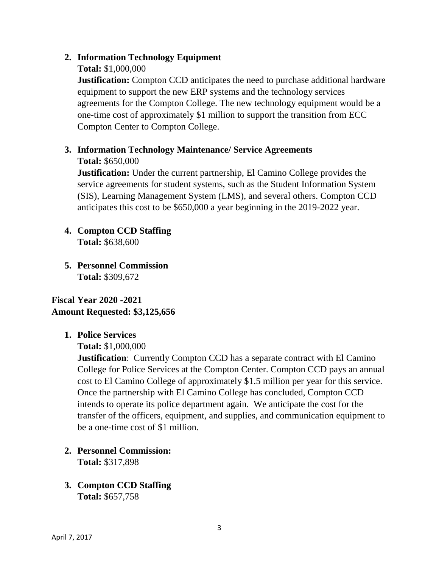#### **2. Information Technology Equipment**

#### **Total:** \$1,000,000

**Justification:** Compton CCD anticipates the need to purchase additional hardware equipment to support the new ERP systems and the technology services agreements for the Compton College. The new technology equipment would be a one-time cost of approximately \$1 million to support the transition from ECC Compton Center to Compton College.

# **3. Information Technology Maintenance/ Service Agreements**

**Total:** \$650,000

**Justification:** Under the current partnership, El Camino College provides the service agreements for student systems, such as the Student Information System (SIS), Learning Management System (LMS), and several others. Compton CCD anticipates this cost to be \$650,000 a year beginning in the 2019-2022 year.

# **4. Compton CCD Staffing**

**Total:** \$638,600

**5. Personnel Commission Total:** \$309,672

**Fiscal Year 2020 -2021 Amount Requested: \$3,125,656**

#### **1. Police Services**

**Total:** \$1,000,000

**Justification:** Currently Compton CCD has a separate contract with El Camino College for Police Services at the Compton Center. Compton CCD pays an annual cost to El Camino College of approximately \$1.5 million per year for this service. Once the partnership with El Camino College has concluded, Compton CCD intends to operate its police department again. We anticipate the cost for the transfer of the officers, equipment, and supplies, and communication equipment to be a one-time cost of \$1 million.

- **2. Personnel Commission: Total:** \$317,898
- **3. Compton CCD Staffing Total:** \$657,758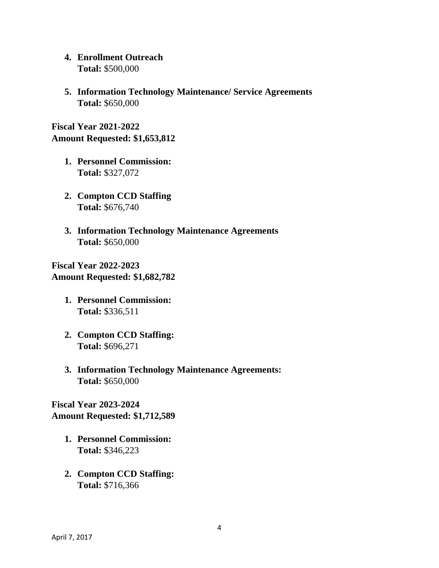- **4. Enrollment Outreach Total:** \$500,000
- **5. Information Technology Maintenance/ Service Agreements Total:** \$650,000

**Fiscal Year 2021-2022 Amount Requested: \$1,653,812**

- **1. Personnel Commission: Total:** \$327,072
- **2. Compton CCD Staffing Total:** \$676,740
- **3. Information Technology Maintenance Agreements Total:** \$650,000

**Fiscal Year 2022-2023 Amount Requested: \$1,682,782**

- **1. Personnel Commission: Total:** \$336,511
- **2. Compton CCD Staffing: Total:** \$696,271
- **3. Information Technology Maintenance Agreements: Total:** \$650,000

**Fiscal Year 2023-2024 Amount Requested: \$1,712,589**

- **1. Personnel Commission: Total:** \$346,223
- **2. Compton CCD Staffing: Total:** \$716,366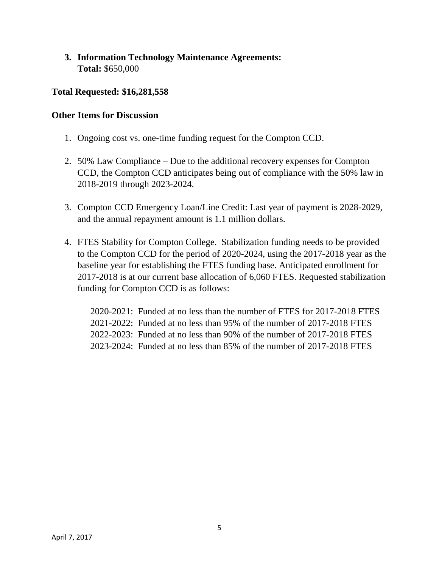#### **3. Information Technology Maintenance Agreements: Total:** \$650,000

#### **Total Requested: \$16,281,558**

#### **Other Items for Discussion**

- 1. Ongoing cost vs. one-time funding request for the Compton CCD.
- 2. 50% Law Compliance Due to the additional recovery expenses for Compton CCD, the Compton CCD anticipates being out of compliance with the 50% law in 2018-2019 through 2023-2024.
- 3. Compton CCD Emergency Loan/Line Credit: Last year of payment is 2028-2029, and the annual repayment amount is 1.1 million dollars.
- 4. FTES Stability for Compton College. Stabilization funding needs to be provided to the Compton CCD for the period of 2020-2024, using the 2017-2018 year as the baseline year for establishing the FTES funding base. Anticipated enrollment for 2017-2018 is at our current base allocation of 6,060 FTES. Requested stabilization funding for Compton CCD is as follows:

2020-2021: Funded at no less than the number of FTES for 2017-2018 FTES 2021-2022: Funded at no less than 95% of the number of 2017-2018 FTES 2022-2023: Funded at no less than 90% of the number of 2017-2018 FTES 2023-2024: Funded at no less than 85% of the number of 2017-2018 FTES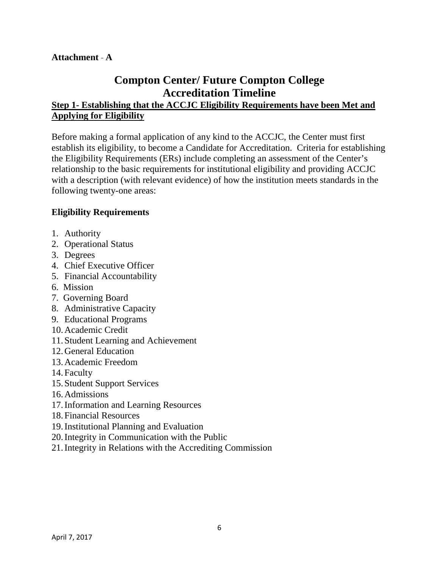#### **Attachment A**

# **Compton Center/ Future Compton College Accreditation Timeline**

## **Step 1- Establishing that the ACCJC Eligibility Requirements have been Met and Applying for Eligibility**

Before making a formal application of any kind to the ACCJC, the Center must first establish its eligibility, to become a Candidate for Accreditation. Criteria for establishing the Eligibility Requirements (ERs) include completing an assessment of the Center's relationship to the basic requirements for institutional eligibility and providing ACCJC with a description (with relevant evidence) of how the institution meets standards in the following twenty-one areas:

#### **Eligibility Requirements**

- 1. Authority
- 2. Operational Status
- 3. Degrees
- 4. Chief Executive Officer
- 5. Financial Accountability
- 6. Mission
- 7. Governing Board
- 8. Administrative Capacity
- 9. Educational Programs
- 10.Academic Credit
- 11. Student Learning and Achievement
- 12.General Education
- 13.Academic Freedom
- 14. Faculty
- 15. Student Support Services
- 16.Admissions
- 17.Information and Learning Resources
- 18. Financial Resources
- 19.Institutional Planning and Evaluation
- 20.Integrity in Communication with the Public
- 21.Integrity in Relations with the Accrediting Commission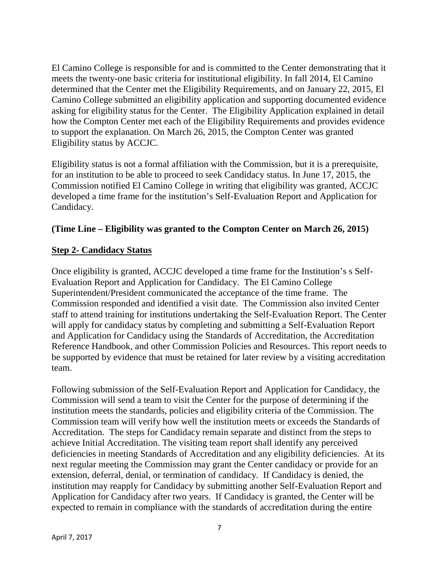El Camino College is responsible for and is committed to the Center demonstrating that it meets the twenty-one basic criteria for institutional eligibility. In fall 2014, El Camino determined that the Center met the Eligibility Requirements, and on January 22, 2015, El Camino College submitted an eligibility application and supporting documented evidence asking for eligibility status for the Center. The Eligibility Application explained in detail how the Compton Center met each of the Eligibility Requirements and provides evidence to support the explanation. On March 26, 2015, the Compton Center was granted Eligibility status by ACCJC.

Eligibility status is not a formal affiliation with the Commission, but it is a prerequisite, for an institution to be able to proceed to seek Candidacy status. In June 17, 2015, the Commission notified El Camino College in writing that eligibility was granted, ACCJC developed a time frame for the institution's Self-Evaluation Report and Application for Candidacy.

#### **(Time Line – Eligibility was granted to the Compton Center on March 26, 2015)**

#### **Step 2- Candidacy Status**

Once eligibility is granted, ACCJC developed a time frame for the Institution's s Self-Evaluation Report and Application for Candidacy. The El Camino College Superintendent/President communicated the acceptance of the time frame. The Commission responded and identified a visit date. The Commission also invited Center staff to attend training for institutions undertaking the Self-Evaluation Report. The Center will apply for candidacy status by completing and submitting a Self-Evaluation Report and Application for Candidacy using the Standards of Accreditation, the Accreditation Reference Handbook, and other Commission Policies and Resources. This report needs to be supported by evidence that must be retained for later review by a visiting accreditation team.

Following submission of the Self-Evaluation Report and Application for Candidacy, the Commission will send a team to visit the Center for the purpose of determining if the institution meets the standards, policies and eligibility criteria of the Commission. The Commission team will verify how well the institution meets or exceeds the Standards of Accreditation. The steps for Candidacy remain separate and distinct from the steps to achieve Initial Accreditation. The visiting team report shall identify any perceived deficiencies in meeting Standards of Accreditation and any eligibility deficiencies. At its next regular meeting the Commission may grant the Center candidacy or provide for an extension, deferral, denial, or termination of candidacy. If Candidacy is denied, the institution may reapply for Candidacy by submitting another Self-Evaluation Report and Application for Candidacy after two years. If Candidacy is granted, the Center will be expected to remain in compliance with the standards of accreditation during the entire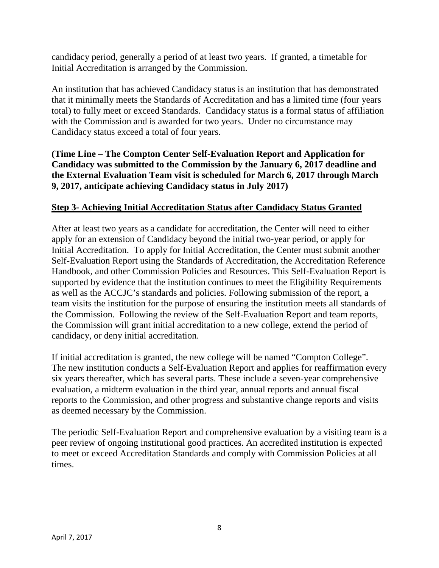candidacy period, generally a period of at least two years. If granted, a timetable for Initial Accreditation is arranged by the Commission.

An institution that has achieved Candidacy status is an institution that has demonstrated that it minimally meets the Standards of Accreditation and has a limited time (four years total) to fully meet or exceed Standards. Candidacy status is a formal status of affiliation with the Commission and is awarded for two years. Under no circumstance may Candidacy status exceed a total of four years.

**(Time Line – The Compton Center Self-Evaluation Report and Application for Candidacy was submitted to the Commission by the January 6, 2017 deadline and the External Evaluation Team visit is scheduled for March 6, 2017 through March 9, 2017, anticipate achieving Candidacy status in July 2017)**

#### **Step 3- Achieving Initial Accreditation Status after Candidacy Status Granted**

After at least two years as a candidate for accreditation, the Center will need to either apply for an extension of Candidacy beyond the initial two-year period, or apply for Initial Accreditation. To apply for Initial Accreditation, the Center must submit another Self-Evaluation Report using the Standards of Accreditation, the Accreditation Reference Handbook, and other Commission Policies and Resources. This Self-Evaluation Report is supported by evidence that the institution continues to meet the Eligibility Requirements as well as the ACCJC's standards and policies. Following submission of the report, a team visits the institution for the purpose of ensuring the institution meets all standards of the Commission. Following the review of the Self-Evaluation Report and team reports, the Commission will grant initial accreditation to a new college, extend the period of candidacy, or deny initial accreditation.

If initial accreditation is granted, the new college will be named "Compton College". The new institution conducts a Self-Evaluation Report and applies for reaffirmation every six years thereafter, which has several parts. These include a seven-year comprehensive evaluation, a midterm evaluation in the third year, annual reports and annual fiscal reports to the Commission, and other progress and substantive change reports and visits as deemed necessary by the Commission.

The periodic Self-Evaluation Report and comprehensive evaluation by a visiting team is a peer review of ongoing institutional good practices. An accredited institution is expected to meet or exceed Accreditation Standards and comply with Commission Policies at all times.